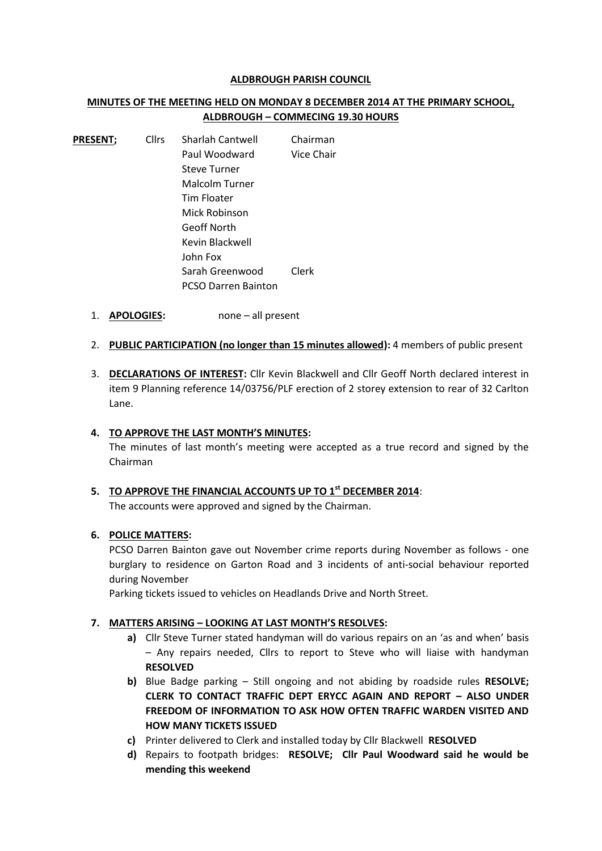#### **ALDBROUGH PARISH COUNCIL**

# **MINUTES OF THE MEETING HELD ON MONDAY 8 DECEMBER 2014 AT THE PRIMARY SCHOOL, ALDBROUGH – COMMECING 19.30 HOURS**

| <b>PRESENT;</b> | <b>Cllrs</b> | <b>Sharlah Cantwell</b>    | Chairman   |
|-----------------|--------------|----------------------------|------------|
|                 |              | Paul Woodward              | Vice Chair |
|                 |              | <b>Steve Turner</b>        |            |
|                 |              | Malcolm Turner             |            |
|                 |              | Tim Floater                |            |
|                 |              | Mick Robinson              |            |
|                 |              | Geoff North                |            |
|                 |              | Kevin Blackwell            |            |
|                 |              | John Fox                   |            |
|                 |              | Sarah Greenwood            | Clerk      |
|                 |              | <b>PCSO Darren Bainton</b> |            |

- 1. **APOLOGIES:** none all present
- 2. **PUBLIC PARTICIPATION (no longer than 15 minutes allowed):** 4 members of public present
- 3. **DECLARATIONS OF INTEREST:** Cllr Kevin Blackwell and Cllr Geoff North declared interest in item 9 Planning reference 14/03756/PLF erection of 2 storey extension to rear of 32 Carlton Lane.

### **4. TO APPROVE THE LAST MONTH'S MINUTES:**

The minutes of last month's meeting were accepted as a true record and signed by the Chairman

# **5. TO APPROVE THE FINANCIAL ACCOUNTS UP TO 1st DECEMBER 2014**:

The accounts were approved and signed by the Chairman.

### **6. POLICE MATTERS:**

PCSO Darren Bainton gave out November crime reports during November as follows - one burglary to residence on Garton Road and 3 incidents of anti-social behaviour reported during November

Parking tickets issued to vehicles on Headlands Drive and North Street.

### **7. MATTERS ARISING – LOOKING AT LAST MONTH'S RESOLVES:**

- **a)** Cllr Steve Turner stated handyman will do various repairs on an 'as and when' basis – Any repairs needed, Cllrs to report to Steve who will liaise with handyman **RESOLVED**
- **b)** Blue Badge parking Still ongoing and not abiding by roadside rules **RESOLVE; CLERK TO CONTACT TRAFFIC DEPT ERYCC AGAIN AND REPORT – ALSO UNDER FREEDOM OF INFORMATION TO ASK HOW OFTEN TRAFFIC WARDEN VISITED AND HOW MANY TICKETS ISSUED**
- **c)** Printer delivered to Clerk and installed today by Cllr Blackwell **RESOLVED**
- **d)** Repairs to footpath bridges: **RESOLVE; Cllr Paul Woodward said he would be mending this weekend**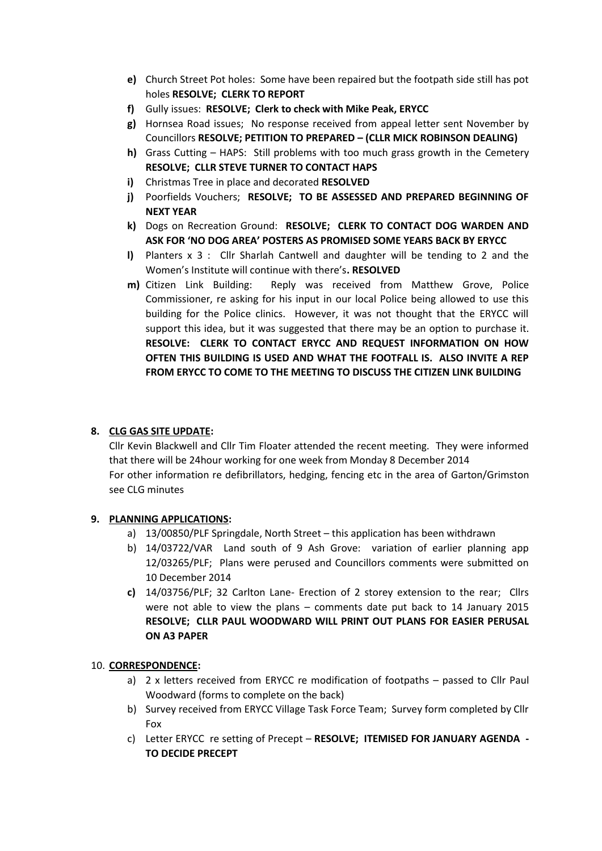- **e)** Church Street Pot holes: Some have been repaired but the footpath side still has pot holes **RESOLVE; CLERK TO REPORT**
- **f)** Gully issues: **RESOLVE; Clerk to check with Mike Peak, ERYCC**
- **g)** Hornsea Road issues; No response received from appeal letter sent November by Councillors **RESOLVE; PETITION TO PREPARED – (CLLR MICK ROBINSON DEALING)**
- **h)** Grass Cutting HAPS: Still problems with too much grass growth in the Cemetery **RESOLVE; CLLR STEVE TURNER TO CONTACT HAPS**
- **i)** Christmas Tree in place and decorated **RESOLVED**
- **j)** Poorfields Vouchers; **RESOLVE; TO BE ASSESSED AND PREPARED BEGINNING OF NEXT YEAR**
- **k)** Dogs on Recreation Ground: **RESOLVE; CLERK TO CONTACT DOG WARDEN AND ASK FOR 'NO DOG AREA' POSTERS AS PROMISED SOME YEARS BACK BY ERYCC**
- **l)** Planters x 3 : Cllr Sharlah Cantwell and daughter will be tending to 2 and the Women's Institute will continue with there's**. RESOLVED**
- **m)** Citizen Link Building: Reply was received from Matthew Grove, Police Commissioner, re asking for his input in our local Police being allowed to use this building for the Police clinics. However, it was not thought that the ERYCC will support this idea, but it was suggested that there may be an option to purchase it. **RESOLVE: CLERK TO CONTACT ERYCC AND REQUEST INFORMATION ON HOW OFTEN THIS BUILDING IS USED AND WHAT THE FOOTFALL IS. ALSO INVITE A REP FROM ERYCC TO COME TO THE MEETING TO DISCUSS THE CITIZEN LINK BUILDING**

## **8. CLG GAS SITE UPDATE:**

Cllr Kevin Blackwell and Cllr Tim Floater attended the recent meeting. They were informed that there will be 24hour working for one week from Monday 8 December 2014 For other information re defibrillators, hedging, fencing etc in the area of Garton/Grimston see CLG minutes

### **9. PLANNING APPLICATIONS:**

- a) 13/00850/PLF Springdale, North Street this application has been withdrawn
- b) 14/03722/VAR Land south of 9 Ash Grove: variation of earlier planning app 12/03265/PLF; Plans were perused and Councillors comments were submitted on 10 December 2014
- **c)** 14/03756/PLF; 32 Carlton Lane- Erection of 2 storey extension to the rear; Cllrs were not able to view the plans – comments date put back to 14 January 2015 **RESOLVE; CLLR PAUL WOODWARD WILL PRINT OUT PLANS FOR EASIER PERUSAL ON A3 PAPER**

### 10. **CORRESPONDENCE:**

- a) 2 x letters received from ERYCC re modification of footpaths passed to Cllr Paul Woodward (forms to complete on the back)
- b) Survey received from ERYCC Village Task Force Team; Survey form completed by Cllr Fox
- c) Letter ERYCC re setting of Precept **RESOLVE; ITEMISED FOR JANUARY AGENDA - TO DECIDE PRECEPT**